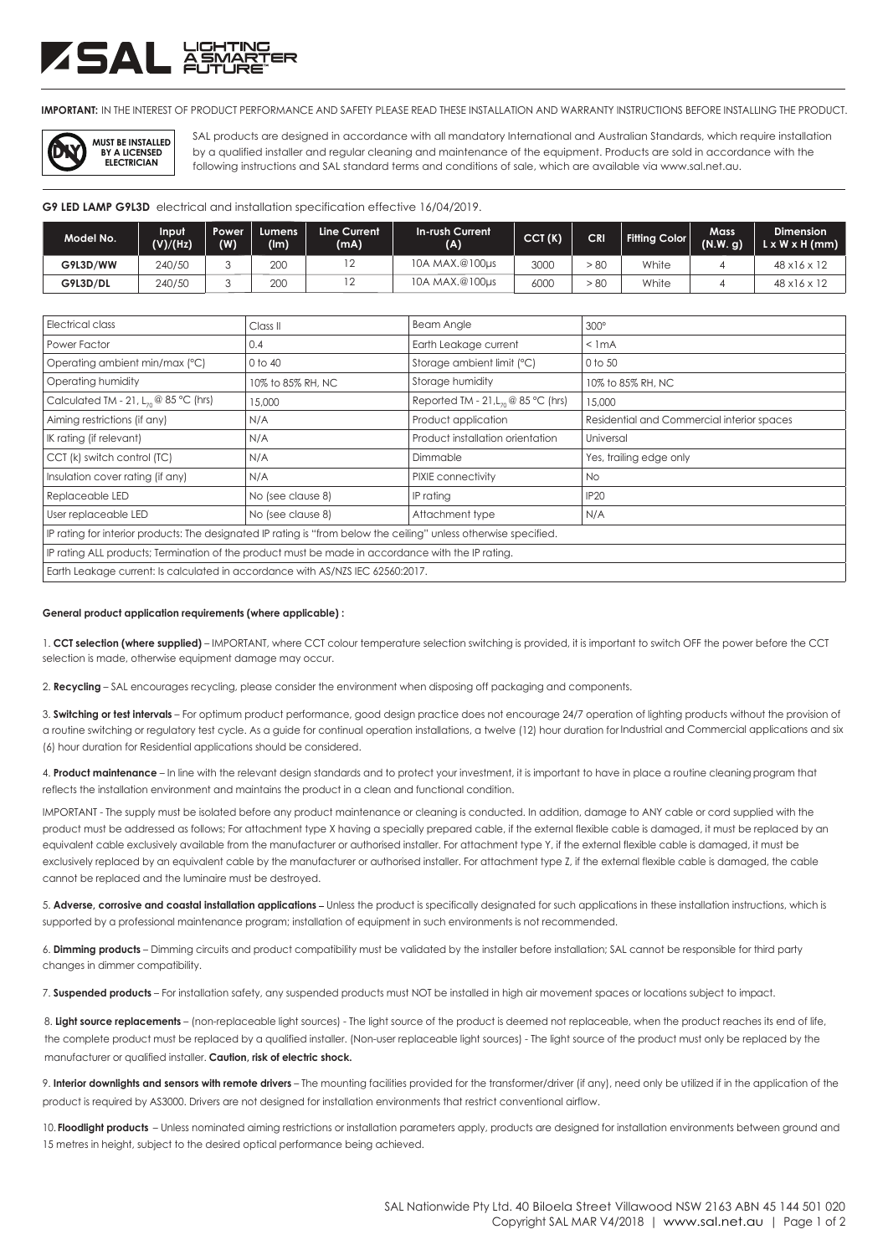# ZSAL ä<del>ä</del>

**IMPORTANT:** IN THE INTEREST OF PRODUCT PERFORMANCE AND SAFETY PLEASE READ THESE INSTALLATION AND WARRANTY INSTRUCTIONS BEFORE INSTALLING THE PRODUCT.



SAL products are designed in accordance with all mandatory International and Australian Standards, which require installation following instructions and SAL standard terms and conditions of sale, which are available via www.sal.net.au. by a qualified installer and regular cleaning and maintenance of the equipment. Products are sold in accordance with the

**G9 LED LAMP G9L3D** electrical and installation specification effective 16/04/2019.

| Model No. | Input<br>(V)/(Hz) | Power<br>(W) | Lumens<br>(lm) | Line Current<br>(mA) | In-rush Current<br>(A) | CCT(K) | <b>CRI</b> | Fitting Color | Mass<br>(N.W. g) | <b>Dimension</b><br>$L \times W \times H$ (mm) |
|-----------|-------------------|--------------|----------------|----------------------|------------------------|--------|------------|---------------|------------------|------------------------------------------------|
| G9L3D/WW  | 240/50            |              | 200            |                      | 10A MAX.@100µs         | 3000   | - 80       | White         |                  | $48 \times 16 \times 12$                       |
| G9L3D/DL  | 240/50            |              | 200            |                      | 10A MAX.@100µs         | 6000   | $80 -$     | White         |                  | $48 \times 16 \times 12$                       |

| Electrical class                                                                                                  | Class <sub>II</sub> | <b>Beam Angle</b>                        | $300^\circ$                                |  |  |  |  |
|-------------------------------------------------------------------------------------------------------------------|---------------------|------------------------------------------|--------------------------------------------|--|--|--|--|
| Power Factor                                                                                                      | 0.4                 | Earth Leakage current                    | $<$ 1 mA                                   |  |  |  |  |
| Operating ambient min/max (°C)                                                                                    | 0 to 40             | Storage ambient limit (°C)               | 0 to 50                                    |  |  |  |  |
| Operating humidity                                                                                                | 10% to 85% RH, NC   | Storage humidity                         | 10% to 85% RH, NC                          |  |  |  |  |
| Calculated TM - 21, $L_{70}$ @ 85 °C (hrs)                                                                        | 15,000              | Reported TM - 21, $L_{70}$ @ 85 °C (hrs) | 15,000                                     |  |  |  |  |
| Aiming restrictions (if any)                                                                                      | N/A                 | Product application                      | Residential and Commercial interior spaces |  |  |  |  |
| IK rating (if relevant)                                                                                           | N/A                 | Product installation orientation         | Universal                                  |  |  |  |  |
| CCT (k) switch control (TC)                                                                                       | N/A                 | Dimmable                                 | Yes, trailing edge only                    |  |  |  |  |
| Insulation cover rating (if any)                                                                                  | N/A                 | PIXIE connectivity                       | <b>No</b>                                  |  |  |  |  |
| Replaceable LED                                                                                                   | No (see clause 8)   | IP rating                                | <b>IP20</b>                                |  |  |  |  |
| User replaceable LED                                                                                              | No (see clause 8)   | Attachment type                          | N/A                                        |  |  |  |  |
| IP rating for interior products: The designated IP rating is "from below the ceiling" unless otherwise specified. |                     |                                          |                                            |  |  |  |  |
| IP rating ALL products; Termination of the product must be made in accordance with the IP rating.                 |                     |                                          |                                            |  |  |  |  |
| Earth Leakage current: Is calculated in accordance with AS/NZS IEC 62560:2017.                                    |                     |                                          |                                            |  |  |  |  |

#### **General product application requirements (where applicable) :**

1. **CCT selection (where supplied)** – IMPORTANT, where CCT colour temperature selection switching is provided, it is important to switch OFF the power before the CCT selection is made, otherwise equipment damage may occur.

2. **Recycling** – SAL encourages recycling, please consider the environment when disposing off packaging and components.

3. **Switching or test intervals** – For optimum product performance, good design practice does not encourage 24/7 operation of lighting products without the provision of a routine switching or regulatory test cycle. As a guide for continual operation installations, a twelve (12) hour duration for Industrial and Commercial applications and six (6) hour duration for Residential applications should be considered.

4. **Product maintenance** – In line with the relevant design standards and to protect your investment, it is important to have in place a routine cleaning program that reflects the installation environment and maintains the product in a clean and functional condition.

IMPORTANT - The supply must be isolated before any product maintenance or cleaning is conducted. In addition, damage to ANY cable or cord supplied with the product must be addressed as follows; For attachment type X having a specially prepared cable, if the external flexible cable is damaged, it must be replaced by an equivalent cable exclusively available from the manufacturer or authorised installer. For attachment type Y, if the external flexible cable is damaged, it must be exclusively replaced by an equivalent cable by the manufacturer or authorised installer. For attachment type Z, if the external flexible cable is damaged, the cable cannot be replaced and the luminaire must be destroyed.

5. **Adverse, corrosive and coastal installation applications** Unless the product is specifically designated for such applications in these installation instructions, which is supported by a professional maintenance program; installation of equipment in such environments is not recommended.

6. **Dimming products** – Dimming circuits and product compatibility must be validated by the installer before installation; SAL cannot be responsible for third party changes in dimmer compatibility.

7. **Suspended products** – For installation safety, any suspended products must NOT be installed in high air movement spaces or locations subject to impact.

8. Light source replacements – (non-replaceable light sources) - The light source of the product is deemed not replaceable, when the product reaches its end of life, manufacturer or qualified installer. **Caution, risk of electric shock.** the complete product must be replaced by a qualified installer. (Non-user replaceable light sources) - The light source of the product must only be replaced by the

9. **Interior downlights and sensors with remote drivers** – The mounting facilities provided for the transformer/driver (if any), need only be utilized if in the application of the product is required by AS3000. Drivers are not designed for installation environments that restrict conventional airflow.

10. Floodlight products - Unless nominated aiming restrictions or installation parameters apply, products are designed for installation environments between ground and 15 metres in height, subject to the desired optical performance being achieved.